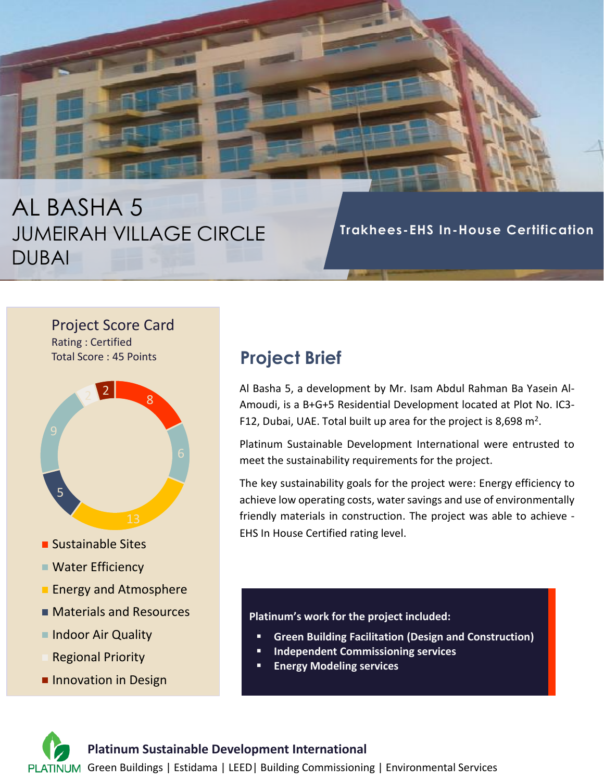# AL BASHA 5 JUMEIRAH VILLAGE CIRCLE DUBAI

**Trakhees-EHS In-House Certification**

#### Project Score Card Rating : Certified Total Score : 45 Points



- **Sustainable Sites**
- Water Efficiency
- **Energy and Atmosphere**
- **Materials and Resources**
- Indoor Air Quality
- Regional Priority
- **Innovation in Design**

## **Project Brief**

Al Basha 5, a development by Mr. Isam Abdul Rahman Ba Yasein Al-Amoudi, is a B+G+5 Residential Development located at Plot No. IC3- F12, Dubai, UAE. Total built up area for the project is 8,698  $m^2$ .

Platinum Sustainable Development International were entrusted to meet the sustainability requirements for the project.

The key sustainability goals for the project were: Energy efficiency to achieve low operating costs, water savings and use of environmentally friendly materials in construction. The project was able to achieve - EHS In House Certified rating level.

#### **Platinum's work for the project included:**

- **Green Building Facilitation (Design and Construction)**
- **Independent Commissioning services**
- **Energy Modeling services**

**Platinum Sustainable Development International**

PLATINUM Green Buildings | Estidama | LEED | Building Commissioning | Environmental Services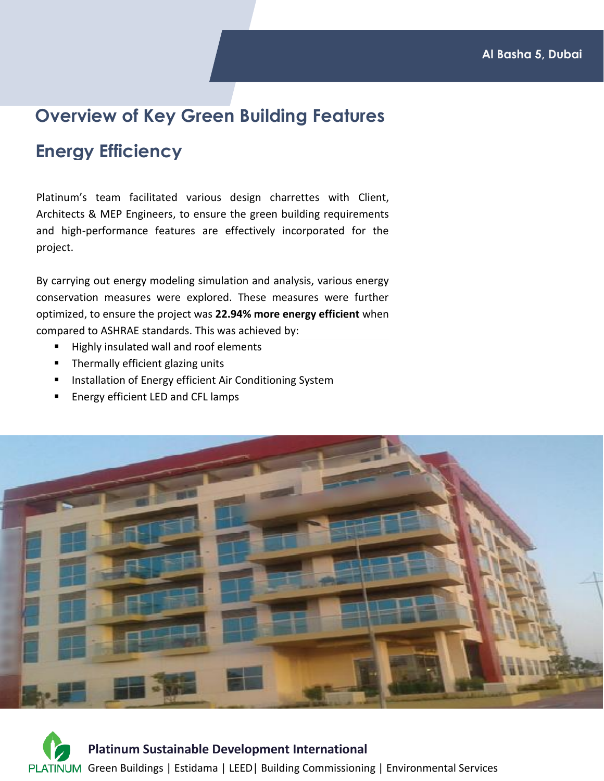### **Overview of Key Green Building Features**

### **Energy Efficiency**

Platinum's team facilitated various design charrettes with Client, Architects & MEP Engineers, to ensure the green building requirements and high-performance features are effectively incorporated for the project.

By carrying out energy modeling simulation and analysis, various energy conservation measures were explored. These measures were further optimized, to ensure the project was **22.94% more energy efficient** when compared to ASHRAE standards. This was achieved by:

- Highly insulated wall and roof elements
- Thermally efficient glazing units
- Installation of Energy efficient Air Conditioning System
- **Energy efficient LED and CFL lamps**



**Platinum Sustainable Development International** PLATINUM Green Buildings | Estidama | LEED | Building Commissioning | Environmental Services